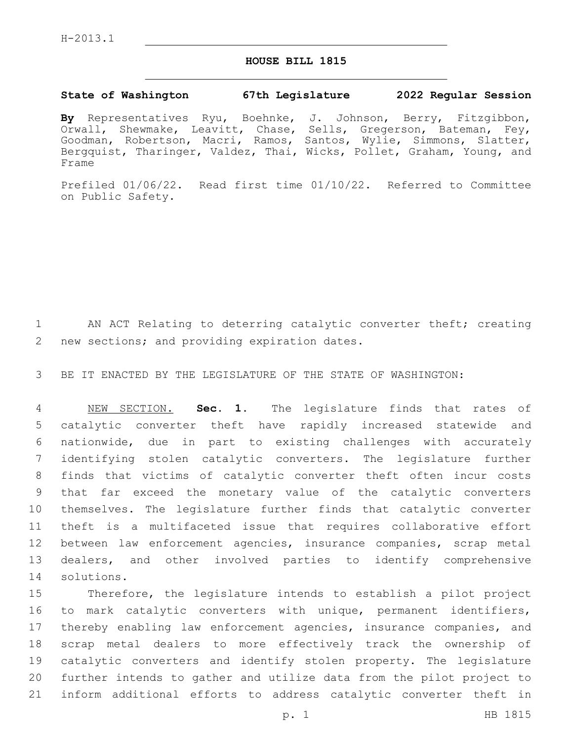## **HOUSE BILL 1815**

## **State of Washington 67th Legislature 2022 Regular Session**

**By** Representatives Ryu, Boehnke, J. Johnson, Berry, Fitzgibbon, Orwall, Shewmake, Leavitt, Chase, Sells, Gregerson, Bateman, Fey, Goodman, Robertson, Macri, Ramos, Santos, Wylie, Simmons, Slatter, Bergquist, Tharinger, Valdez, Thai, Wicks, Pollet, Graham, Young, and Frame

Prefiled 01/06/22. Read first time 01/10/22. Referred to Committee on Public Safety.

1 AN ACT Relating to deterring catalytic converter theft; creating 2 new sections; and providing expiration dates.

3 BE IT ENACTED BY THE LEGISLATURE OF THE STATE OF WASHINGTON:

 NEW SECTION. **Sec. 1.** The legislature finds that rates of catalytic converter theft have rapidly increased statewide and nationwide, due in part to existing challenges with accurately identifying stolen catalytic converters. The legislature further finds that victims of catalytic converter theft often incur costs that far exceed the monetary value of the catalytic converters themselves. The legislature further finds that catalytic converter theft is a multifaceted issue that requires collaborative effort between law enforcement agencies, insurance companies, scrap metal dealers, and other involved parties to identify comprehensive solutions.

 Therefore, the legislature intends to establish a pilot project to mark catalytic converters with unique, permanent identifiers, thereby enabling law enforcement agencies, insurance companies, and scrap metal dealers to more effectively track the ownership of catalytic converters and identify stolen property. The legislature further intends to gather and utilize data from the pilot project to inform additional efforts to address catalytic converter theft in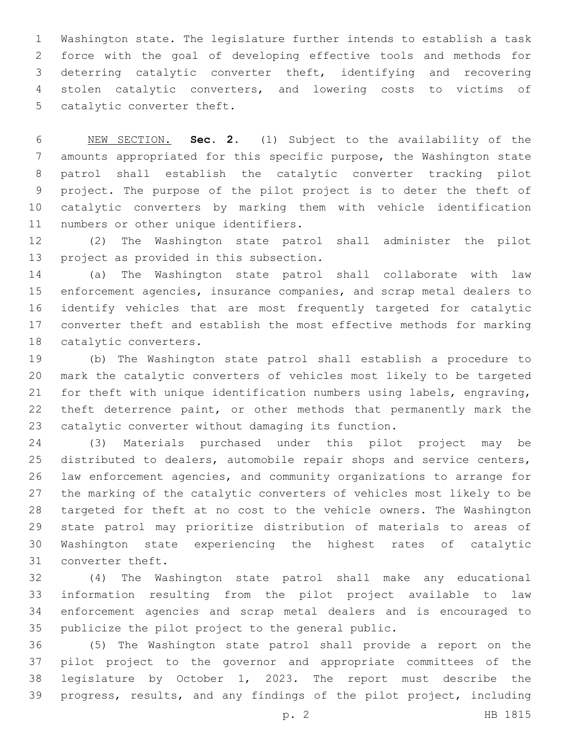Washington state. The legislature further intends to establish a task force with the goal of developing effective tools and methods for deterring catalytic converter theft, identifying and recovering stolen catalytic converters, and lowering costs to victims of 5 catalytic converter theft.

 NEW SECTION. **Sec. 2.** (1) Subject to the availability of the amounts appropriated for this specific purpose, the Washington state patrol shall establish the catalytic converter tracking pilot project. The purpose of the pilot project is to deter the theft of catalytic converters by marking them with vehicle identification numbers or other unique identifiers.

 (2) The Washington state patrol shall administer the pilot 13 project as provided in this subsection.

 (a) The Washington state patrol shall collaborate with law enforcement agencies, insurance companies, and scrap metal dealers to identify vehicles that are most frequently targeted for catalytic converter theft and establish the most effective methods for marking 18 catalytic converters.

 (b) The Washington state patrol shall establish a procedure to mark the catalytic converters of vehicles most likely to be targeted for theft with unique identification numbers using labels, engraving, theft deterrence paint, or other methods that permanently mark the catalytic converter without damaging its function.

 (3) Materials purchased under this pilot project may be distributed to dealers, automobile repair shops and service centers, law enforcement agencies, and community organizations to arrange for the marking of the catalytic converters of vehicles most likely to be targeted for theft at no cost to the vehicle owners. The Washington state patrol may prioritize distribution of materials to areas of Washington state experiencing the highest rates of catalytic 31 converter theft.

 (4) The Washington state patrol shall make any educational information resulting from the pilot project available to law enforcement agencies and scrap metal dealers and is encouraged to publicize the pilot project to the general public.

 (5) The Washington state patrol shall provide a report on the pilot project to the governor and appropriate committees of the legislature by October 1, 2023. The report must describe the progress, results, and any findings of the pilot project, including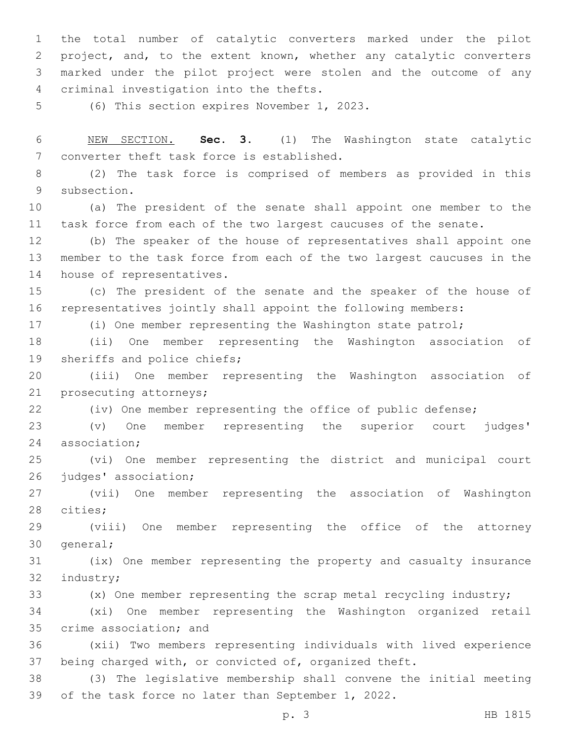the total number of catalytic converters marked under the pilot project, and, to the extent known, whether any catalytic converters marked under the pilot project were stolen and the outcome of any criminal investigation into the thefts.4

5 (6) This section expires November 1, 2023.

 NEW SECTION. **Sec. 3.** (1) The Washington state catalytic converter theft task force is established.

 (2) The task force is comprised of members as provided in this 9 subsection.

 (a) The president of the senate shall appoint one member to the task force from each of the two largest caucuses of the senate.

 (b) The speaker of the house of representatives shall appoint one member to the task force from each of the two largest caucuses in the 14 house of representatives.

 (c) The president of the senate and the speaker of the house of representatives jointly shall appoint the following members:

(i) One member representing the Washington state patrol;

 (ii) One member representing the Washington association of 19 sheriffs and police chiefs;

 (iii) One member representing the Washington association of 21 prosecuting attorneys;

(iv) One member representing the office of public defense;

 (v) One member representing the superior court judges' 24 association;

 (vi) One member representing the district and municipal court 26 judges' association;

 (vii) One member representing the association of Washington 28 cities;

 (viii) One member representing the office of the attorney 30 general;

 (ix) One member representing the property and casualty insurance 32 industry;

(x) One member representing the scrap metal recycling industry;

 (xi) One member representing the Washington organized retail 35 crime association; and

 (xii) Two members representing individuals with lived experience being charged with, or convicted of, organized theft.

 (3) The legislative membership shall convene the initial meeting of the task force no later than September 1, 2022.

p. 3 HB 1815